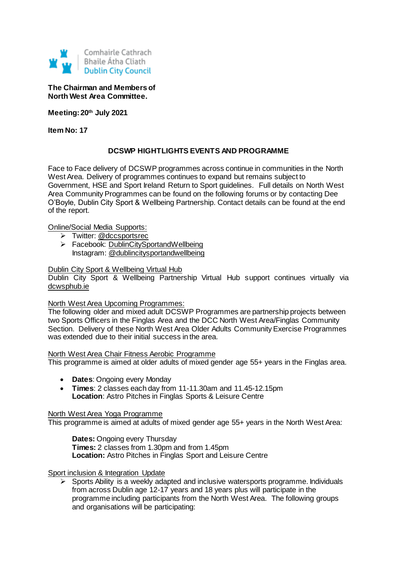

**The Chairman and Members of North West Area Committee.**

**Meeting: 20th July 2021**

**Item No: 17**

## **DCSWP HIGHTLIGHTS EVENTS AND PROGRAMME**

Face to Face delivery of DCSWP programmes across continue in communities in the North West Area. Delivery of programmes continues to expand but remains subject to Government, HSE and Sport Ireland Return to Sport guidelines. Full details on North West Area Community Programmes can be found on the following forums or by contacting Dee O'Boyle, Dublin City Sport & Wellbeing Partnership. Contact details can be found at the end of the report.

Online/Social Media Supports:

- > Twitter: @dccsportsrec
- > Facebook: [DublinCitySportandWellbeing](https://www.facebook.com/DublinCitySportandWellbeingPartnership/) Instagram: @dublincitysportandwellbeing

#### Dublin City Sport & Wellbeing Virtual Hub

Dublin City Sport & Wellbeing Partnership Virtual Hub support continues virtually via [dcwsphub.ie](http://www.dcswphub.ie/)

#### North West Area Upcoming Programmes:

The following older and mixed adult DCSWP Programmes are partnership projects between two Sports Officers in the Finglas Area and the DCC North West Area/Finglas Community Section. Delivery of these North West Area Older Adults Community Exercise Programmes was extended due to their initial success in the area.

North West Area Chair Fitness Aerobic Programme

This programme is aimed at older adults of mixed gender age 55+ years in the Finglas area.

- **Dates**: Ongoing every Monday
- **Times**: 2 classes each day from 11-11.30am and 11.45-12.15pm **Location**: Astro Pitches in Finglas Sports & Leisure Centre

#### North West Area Yoga Programme

This programme is aimed at adults of mixed gender age 55+ years in the North West Area:

**Dates: Ongoing every Thursday Times:** 2 classes from 1.30pm and from 1.45pm **Location:** Astro Pitches in Finglas Sport and Leisure Centre

#### Sport inclusion & Integration Update

 $\triangleright$  Sports Ability is a weekly adapted and inclusive watersports programme. Individuals from across Dublin age 12-17 years and 18 years plus will participate in the programme including participants from the North West Area. The following groups and organisations will be participating: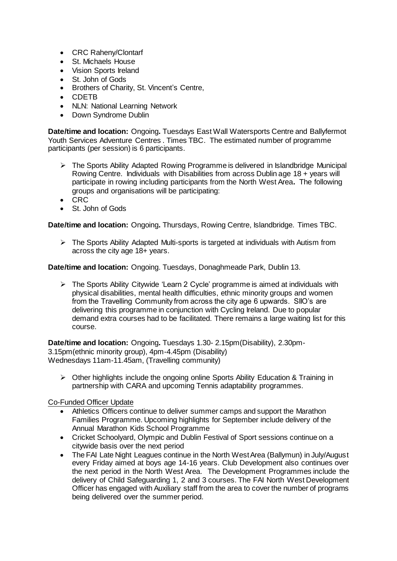- CRC Raheny/Clontarf
- St. Michaels House
- Vision Sports Ireland
- St. John of Gods
- Brothers of Charity, St. Vincent's Centre,
- CDETB
- NLN: National Learning Network
- Down Syndrome Dublin

**Date/time and location:** Ongoing**.** Tuesdays East Wall Watersports Centre and Ballyfermot Youth Services Adventure Centres . Times TBC. The estimated number of programme participants (per session) is 6 participants.

- The Sports Ability Adapted Rowing Programme is delivered in Islandbridge Municipal Rowing Centre. Individuals with Disabilities from across Dublin age 18 + years will participate in rowing including participants from the North West Area**.** The following groups and organisations will be participating:
- CRC
- St. John of Gods

**Date/time and location:** Ongoing**.** Thursdays, Rowing Centre, Islandbridge. Times TBC.

 $\triangleright$  The Sports Ability Adapted Multi-sports is targeted at individuals with Autism from across the city age 18+ years.

**Date/time and location:** Ongoing. Tuesdays, Donaghmeade Park, Dublin 13.

 The Sports Ability Citywide 'Learn 2 Cycle' programme is aimed at individuals with physical disabilities, mental health difficulties, ethnic minority groups and women from the Travelling Community from across the city age 6 upwards. SIIO's are delivering this programme in conjunction with Cycling Ireland. Due to popular demand extra courses had to be facilitated. There remains a large waiting list for this course.

**Date/time and location:** Ongoing**.** Tuesdays 1.30- 2.15pm(Disability), 2.30pm-3.15pm(ethnic minority group), 4pm-4.45pm (Disability) Wednesdays 11am-11.45am, (Travelling community)

 $\triangleright$  Other highlights include the ongoing online Sports Ability Education & Training in partnership with CARA and upcoming Tennis adaptability programmes.

### Co-Funded Officer Update

- Athletics Officers continue to deliver summer camps and support the Marathon Families Programme. Upcoming highlights for September include delivery of the Annual Marathon Kids School Programme
- Cricket Schoolyard, Olympic and Dublin Festival of Sport sessions continue on a citywide basis over the next period
- The FAI Late Night Leagues continue in the North West Area (Ballymun) in July/August every Friday aimed at boys age 14-16 years. Club Development also continues over the next period in the North West Area. The Development Programmes include the delivery of Child Safeguarding 1, 2 and 3 courses. The FAI North West Development Officer has engaged with Auxiliary staff from the area to cover the number of programs being delivered over the summer period.